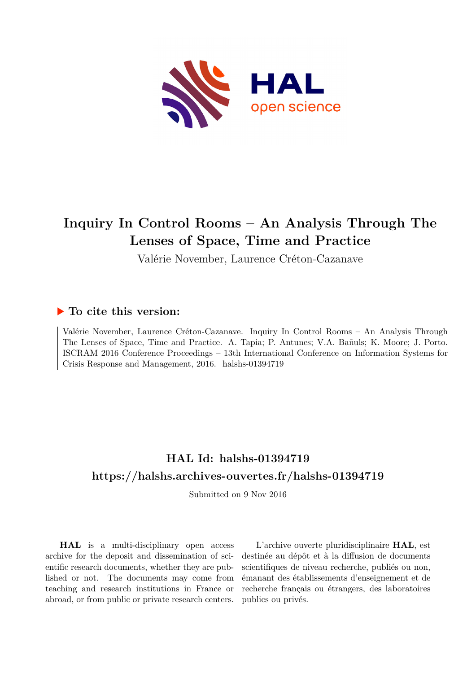

# **Inquiry In Control Rooms – An Analysis Through The Lenses of Space, Time and Practice**

Valérie November, Laurence Créton-Cazanave

# **To cite this version:**

Valérie November, Laurence Créton-Cazanave. Inquiry In Control Rooms – An Analysis Through The Lenses of Space, Time and Practice. A. Tapia; P. Antunes; V.A. Bañuls; K. Moore; J. Porto. ISCRAM 2016 Conference Proceedings – 13th International Conference on Information Systems for Crisis Response and Management, 2016. halshs-01394719

# **HAL Id: halshs-01394719 <https://halshs.archives-ouvertes.fr/halshs-01394719>**

Submitted on 9 Nov 2016

**HAL** is a multi-disciplinary open access archive for the deposit and dissemination of scientific research documents, whether they are published or not. The documents may come from teaching and research institutions in France or abroad, or from public or private research centers.

L'archive ouverte pluridisciplinaire **HAL**, est destinée au dépôt et à la diffusion de documents scientifiques de niveau recherche, publiés ou non, émanant des établissements d'enseignement et de recherche français ou étrangers, des laboratoires publics ou privés.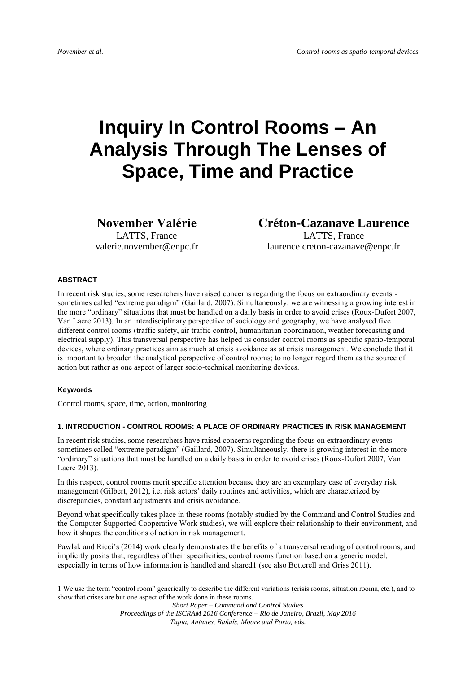# **Inquiry In Control Rooms – An Analysis Through The Lenses of Space, Time and Practice**

**November Valérie**

LATTS, France valerie.november@enpc.fr **Créton-Cazanave Laurence** LATTS, France laurence.creton-cazanave@enpc.fr

## **ABSTRACT**

In recent risk studies, some researchers have raised concerns regarding the focus on extraordinary events sometimes called "extreme paradigm" (Gaillard, 2007). Simultaneously, we are witnessing a growing interest in the more "ordinary" situations that must be handled on a daily basis in order to avoid crises (Roux-Dufort 2007, Van Laere 2013). In an interdisciplinary perspective of sociology and geography, we have analysed five different control rooms (traffic safety, air traffic control, humanitarian coordination, weather forecasting and electrical supply). This transversal perspective has helped us consider control rooms as specific spatio-temporal devices, where ordinary practices aim as much at crisis avoidance as at crisis management. We conclude that it is important to broaden the analytical perspective of control rooms; to no longer regard them as the source of action but rather as one aspect of larger socio-technical monitoring devices.

## **Keywords**

-

Control rooms, space, time, action, monitoring

# **1. INTRODUCTION - CONTROL ROOMS: A PLACE OF ORDINARY PRACTICES IN RISK MANAGEMENT**

In recent risk studies, some researchers have raised concerns regarding the focus on extraordinary events sometimes called "extreme paradigm" (Gaillard, 2007). Simultaneously, there is growing interest in the more "ordinary" situations that must be handled on a daily basis in order to avoid crises (Roux-Dufort 2007, Van Laere 2013).

In this respect, control rooms merit specific attention because they are an exemplary case of everyday risk management (Gilbert, 2012), i.e. risk actors' daily routines and activities, which are characterized by discrepancies, constant adjustments and crisis avoidance.

Beyond what specifically takes place in these rooms (notably studied by the Command and Control Studies and the Computer Supported Cooperative Work studies), we will explore their relationship to their environment, and how it shapes the conditions of action in risk management.

Pawlak and Ricci's (2014) work clearly demonstrates the benefits of a transversal reading of control rooms, and implicitly posits that, regardless of their specificities, control rooms function based on a generic model, especially in terms of how information is handled and shared1 (see also Botterell and Griss 2011).

<sup>1</sup> We use the term "control room" generically to describe the different variations (crisis rooms, situation rooms, etc.), and to show that crises are but one aspect of the work done in these rooms.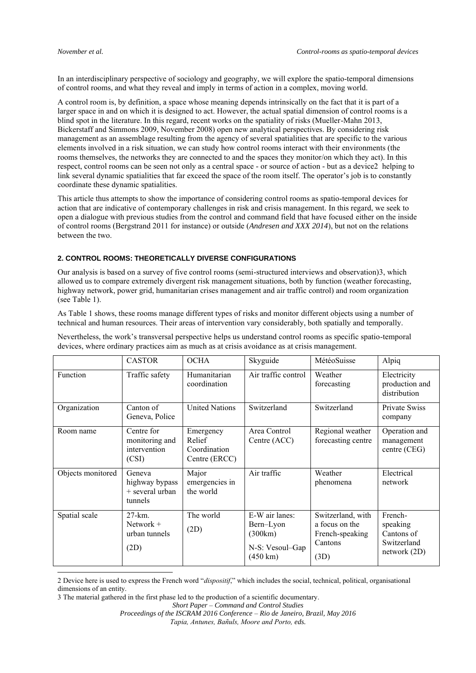1

In an interdisciplinary perspective of sociology and geography, we will explore the spatio-temporal dimensions of control rooms, and what they reveal and imply in terms of action in a complex, moving world.

A control room is, by definition, a space whose meaning depends intrinsically on the fact that it is part of a larger space in and on which it is designed to act. However, the actual spatial dimension of control rooms is a blind spot in the literature. In this regard, recent works on the spatiality of risks (Mueller-Mahn 2013, Bickerstaff and Simmons 2009, November 2008) open new analytical perspectives. By considering risk management as an assemblage resulting from the agency of several spatialities that are specific to the various elements involved in a risk situation, we can study how control rooms interact with their environments (the rooms themselves, the networks they are connected to and the spaces they monitor/on which they act). In this respect, control rooms can be seen not only as a central space - or source of action - but as a device2 helping to link several dynamic spatialities that far exceed the space of the room itself. The operator's job is to constantly coordinate these dynamic spatialities.

This article thus attempts to show the importance of considering control rooms as spatio-temporal devices for action that are indicative of contemporary challenges in risk and crisis management. In this regard, we seek to open a dialogue with previous studies from the control and command field that have focused either on the inside of control rooms (Bergstrand 2011 for instance) or outside (*Andresen and XXX 2014*), but not on the relations between the two.

# **2. CONTROL ROOMS: THEORETICALLY DIVERSE CONFIGURATIONS**

Our analysis is based on a survey of five control rooms (semi-structured interviews and observation)3, which allowed us to compare extremely divergent risk management situations, both by function (weather forecasting, highway network, power grid, humanitarian crises management and air traffic control) and room organization (see Table 1).

As Table 1 shows, these rooms manage different types of risks and monitor different objects using a number of technical and human resources. Their areas of intervention vary considerably, both spatially and temporally.

|                   | <b>CASTOR</b>                                            | <b>OCHA</b>                                          | Skyguide                                                                        | MétéoSuisse                                                               | Alpiq                                                              |
|-------------------|----------------------------------------------------------|------------------------------------------------------|---------------------------------------------------------------------------------|---------------------------------------------------------------------------|--------------------------------------------------------------------|
| Function          | Traffic safety                                           | Humanitarian<br>coordination                         | Air traffic control                                                             | Weather<br>forecasting                                                    | Electricity<br>production and<br>distribution                      |
| Organization      | Canton of<br>Geneva, Police                              | <b>United Nations</b>                                | Switzerland                                                                     | Switzerland                                                               | Private Swiss<br>company                                           |
| Room name         | Centre for<br>monitoring and<br>intervention<br>(CSI)    | Emergency<br>Relief<br>Coordination<br>Centre (ERCC) | Area Control<br>Centre (ACC)                                                    | Regional weather<br>forecasting centre                                    | Operation and<br>management<br>centre (CEG)                        |
| Objects monitored | Geneva<br>highway bypass<br>$+$ several urban<br>tunnels | Major<br>emergencies in<br>the world                 | Air traffic                                                                     | Weather<br>phenomena                                                      | Electrical<br>network                                              |
| Spatial scale     | 27-km.<br>Network $+$<br>urban tunnels<br>(2D)           | The world<br>(2D)                                    | E-W air lanes:<br>Bern-Lyon<br>(300km)<br>N-S: Vesoul-Gap<br>$(450 \text{ km})$ | Switzerland, with<br>a focus on the<br>French-speaking<br>Cantons<br>(3D) | French-<br>speaking<br>Cantons of<br>Switzerland<br>network $(2D)$ |

Nevertheless, the work's transversal perspective helps us understand control rooms as specific spatio-temporal devices, where ordinary practices aim as much as at crisis avoidance as at crisis management.

*Short Paper – Command and Control Studies*

<sup>2</sup> Device here is used to express the French word "*dispositif*," which includes the social, technical, political, organisational dimensions of an entity.

<sup>3</sup> The material gathered in the first phase led to the production of a scientific documentary.

*Proceedings of the ISCRAM 2016 Conference – Rio de Janeiro, Brazil, May 2016 Tapia, Antunes, Bañuls, Moore and Porto, eds.*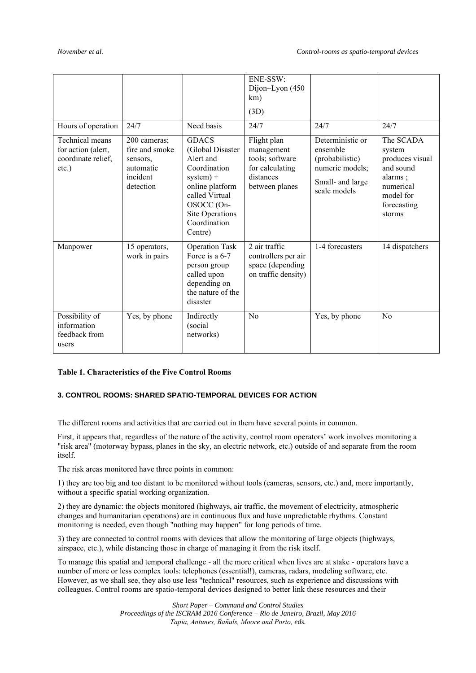|                                                                         |                                                                                  |                                                                                                                                                                               | ENE-SSW:<br>Dijon-Lyon (450<br>km)<br>(3D)                                                     |                                                                                                        |                                                                                                                   |
|-------------------------------------------------------------------------|----------------------------------------------------------------------------------|-------------------------------------------------------------------------------------------------------------------------------------------------------------------------------|------------------------------------------------------------------------------------------------|--------------------------------------------------------------------------------------------------------|-------------------------------------------------------------------------------------------------------------------|
| Hours of operation                                                      | 24/7                                                                             | Need basis                                                                                                                                                                    | 24/7                                                                                           | 24/7                                                                                                   | 24/7                                                                                                              |
| Technical means<br>for action (alert,<br>coordinate relief,<br>$etc.$ ) | 200 cameras;<br>fire and smoke<br>sensors,<br>automatic<br>incident<br>detection | <b>GDACS</b><br>(Global Disaster<br>Alert and<br>Coordination<br>$system) +$<br>online platform<br>called Virtual<br>OSOCC (On-<br>Site Operations<br>Coordination<br>Centre) | Flight plan<br>management<br>tools; software<br>for calculating<br>distances<br>between planes | Deterministic or<br>ensemble<br>(probabilistic)<br>numeric models;<br>Small- and large<br>scale models | The SCADA<br>system<br>produces visual<br>and sound<br>alarms;<br>numerical<br>model for<br>forecasting<br>storms |
| Manpower                                                                | 15 operators,<br>work in pairs                                                   | <b>Operation Task</b><br>Force is a 6-7<br>person group<br>called upon<br>depending on<br>the nature of the<br>disaster                                                       | $\overline{2}$ air traffic<br>controllers per air<br>space (depending<br>on traffic density)   | 1-4 forecasters                                                                                        | 14 dispatchers                                                                                                    |
| Possibility of<br>information<br>feedback from<br>users                 | Yes, by phone                                                                    | Indirectly<br>(social<br>networks)                                                                                                                                            | No                                                                                             | Yes, by phone                                                                                          | N <sub>0</sub>                                                                                                    |

# **Table 1. Characteristics of the Five Control Rooms**

# **3. CONTROL ROOMS: SHARED SPATIO-TEMPORAL DEVICES FOR ACTION**

The different rooms and activities that are carried out in them have several points in common.

First, it appears that, regardless of the nature of the activity, control room operators' work involves monitoring a "risk area" (motorway bypass, planes in the sky, an electric network, etc.) outside of and separate from the room itself.

The risk areas monitored have three points in common:

1) they are too big and too distant to be monitored without tools (cameras, sensors, etc.) and, more importantly, without a specific spatial working organization.

2) they are dynamic: the objects monitored (highways, air traffic, the movement of electricity, atmospheric changes and humanitarian operations) are in continuous flux and have unpredictable rhythms. Constant monitoring is needed, even though "nothing may happen" for long periods of time.

3) they are connected to control rooms with devices that allow the monitoring of large objects (highways, airspace, etc.), while distancing those in charge of managing it from the risk itself.

To manage this spatial and temporal challenge - all the more critical when lives are at stake - operators have a number of more or less complex tools: telephones (essential!), cameras, radars, modeling software, etc. However, as we shall see, they also use less "technical" resources, such as experience and discussions with colleagues. Control rooms are spatio-temporal devices designed to better link these resources and their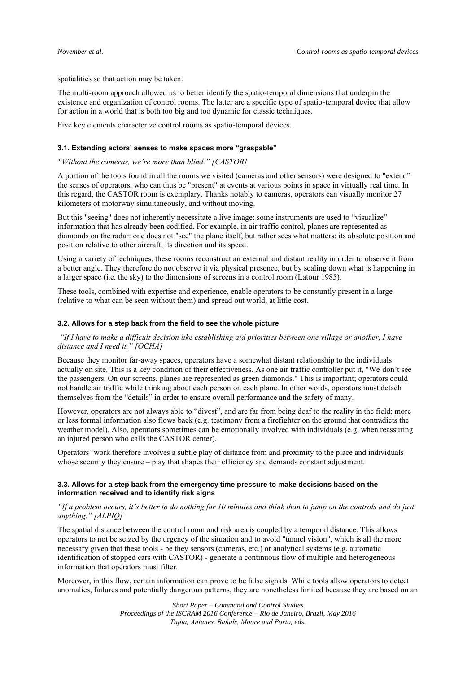spatialities so that action may be taken.

The multi-room approach allowed us to better identify the spatio-temporal dimensions that underpin the existence and organization of control rooms. The latter are a specific type of spatio-temporal device that allow for action in a world that is both too big and too dynamic for classic techniques.

Five key elements characterize control rooms as spatio-temporal devices.

#### **3.1. Extending actors' senses to make spaces more "graspable"**

# *"Without the cameras, we're more than blind." [CASTOR]*

A portion of the tools found in all the rooms we visited (cameras and other sensors) were designed to "extend" the senses of operators, who can thus be "present" at events at various points in space in virtually real time. In this regard, the CASTOR room is exemplary. Thanks notably to cameras, operators can visually monitor 27 kilometers of motorway simultaneously, and without moving.

But this "seeing" does not inherently necessitate a live image: some instruments are used to "visualize" information that has already been codified. For example, in air traffic control, planes are represented as diamonds on the radar: one does not "see" the plane itself, but rather sees what matters: its absolute position and position relative to other aircraft, its direction and its speed.

Using a variety of techniques, these rooms reconstruct an external and distant reality in order to observe it from a better angle. They therefore do not observe it via physical presence, but by scaling down what is happening in a larger space (i.e. the sky) to the dimensions of screens in a control room (Latour 1985).

These tools, combined with expertise and experience, enable operators to be constantly present in a large (relative to what can be seen without them) and spread out world, at little cost.

#### **3.2. Allows for a step back from the field to see the whole picture**

*"If I have to make a difficult decision like establishing aid priorities between one village or another, I have distance and I need it." [OCHA]*

Because they monitor far-away spaces, operators have a somewhat distant relationship to the individuals actually on site. This is a key condition of their effectiveness. As one air traffic controller put it, "We don't see the passengers. On our screens, planes are represented as green diamonds." This is important; operators could not handle air traffic while thinking about each person on each plane. In other words, operators must detach themselves from the "details" in order to ensure overall performance and the safety of many.

However, operators are not always able to "divest", and are far from being deaf to the reality in the field; more or less formal information also flows back (e.g. testimony from a firefighter on the ground that contradicts the weather model). Also, operators sometimes can be emotionally involved with individuals (e.g. when reassuring an injured person who calls the CASTOR center).

Operators' work therefore involves a subtle play of distance from and proximity to the place and individuals whose security they ensure – play that shapes their efficiency and demands constant adjustment.

## **3.3. Allows for a step back from the emergency time pressure to make decisions based on the information received and to identify risk signs**

# *"If a problem occurs, it's better to do nothing for 10 minutes and think than to jump on the controls and do just anything." [ALPIQ]*

The spatial distance between the control room and risk area is coupled by a temporal distance. This allows operators to not be seized by the urgency of the situation and to avoid "tunnel vision", which is all the more necessary given that these tools - be they sensors (cameras, etc.) or analytical systems (e.g. automatic identification of stopped cars with CASTOR) - generate a continuous flow of multiple and heterogeneous information that operators must filter.

Moreover, in this flow, certain information can prove to be false signals. While tools allow operators to detect anomalies, failures and potentially dangerous patterns, they are nonetheless limited because they are based on an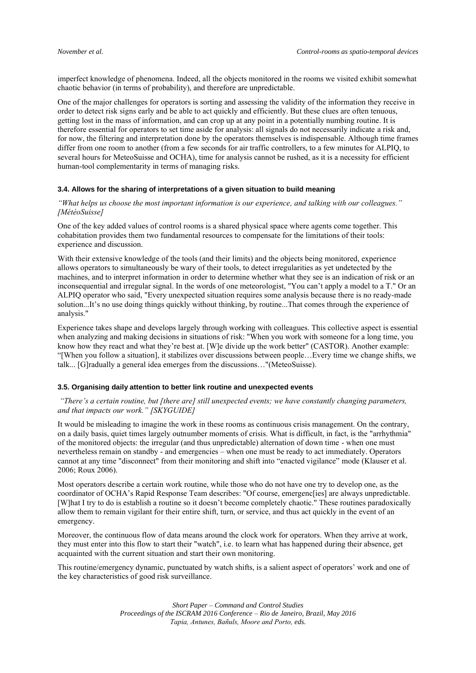imperfect knowledge of phenomena. Indeed, all the objects monitored in the rooms we visited exhibit somewhat chaotic behavior (in terms of probability), and therefore are unpredictable.

One of the major challenges for operators is sorting and assessing the validity of the information they receive in order to detect risk signs early and be able to act quickly and efficiently. But these clues are often tenuous, getting lost in the mass of information, and can crop up at any point in a potentially numbing routine. It is therefore essential for operators to set time aside for analysis: all signals do not necessarily indicate a risk and, for now, the filtering and interpretation done by the operators themselves is indispensable. Although time frames differ from one room to another (from a few seconds for air traffic controllers, to a few minutes for ALPIQ, to several hours for MeteoSuisse and OCHA), time for analysis cannot be rushed, as it is a necessity for efficient human-tool complementarity in terms of managing risks.

# **3.4. Allows for the sharing of interpretations of a given situation to build meaning**

*"What helps us choose the most important information is our experience, and talking with our colleagues." [MétéoSuisse]*

One of the key added values of control rooms is a shared physical space where agents come together. This cohabitation provides them two fundamental resources to compensate for the limitations of their tools: experience and discussion.

With their extensive knowledge of the tools (and their limits) and the objects being monitored, experience allows operators to simultaneously be wary of their tools, to detect irregularities as yet undetected by the machines, and to interpret information in order to determine whether what they see is an indication of risk or an inconsequential and irregular signal. In the words of one meteorologist, "You can't apply a model to a T." Or an ALPIQ operator who said, "Every unexpected situation requires some analysis because there is no ready-made solution...It's no use doing things quickly without thinking, by routine...That comes through the experience of analysis."

Experience takes shape and develops largely through working with colleagues. This collective aspect is essential when analyzing and making decisions in situations of risk: "When you work with someone for a long time, you know how they react and what they're best at. [W]e divide up the work better" (CASTOR). Another example: "[When you follow a situation], it stabilizes over discussions between people…Every time we change shifts, we talk... [G]radually a general idea emerges from the discussions…"(MeteoSuisse).

#### **3.5. Organising daily attention to better link routine and unexpected events**

*"There's a certain routine, but [there are] still unexpected events; we have constantly changing parameters, and that impacts our work." [SKYGUIDE]*

It would be misleading to imagine the work in these rooms as continuous crisis management. On the contrary, on a daily basis, quiet times largely outnumber moments of crisis. What is difficult, in fact, is the "arrhythmia" of the monitored objects: the irregular (and thus unpredictable) alternation of down time - when one must nevertheless remain on standby - and emergencies – when one must be ready to act immediately. Operators cannot at any time "disconnect" from their monitoring and shift into "enacted vigilance" mode (Klauser et al. 2006; Roux 2006).

Most operators describe a certain work routine, while those who do not have one try to develop one, as the coordinator of OCHA's Rapid Response Team describes: "Of course, emergenc[ies] are always unpredictable. [W]hat I try to do is establish a routine so it doesn't become completely chaotic." These routines paradoxically allow them to remain vigilant for their entire shift, turn, or service, and thus act quickly in the event of an emergency.

Moreover, the continuous flow of data means around the clock work for operators. When they arrive at work, they must enter into this flow to start their "watch", i.e. to learn what has happened during their absence, get acquainted with the current situation and start their own monitoring.

This routine/emergency dynamic, punctuated by watch shifts, is a salient aspect of operators' work and one of the key characteristics of good risk surveillance.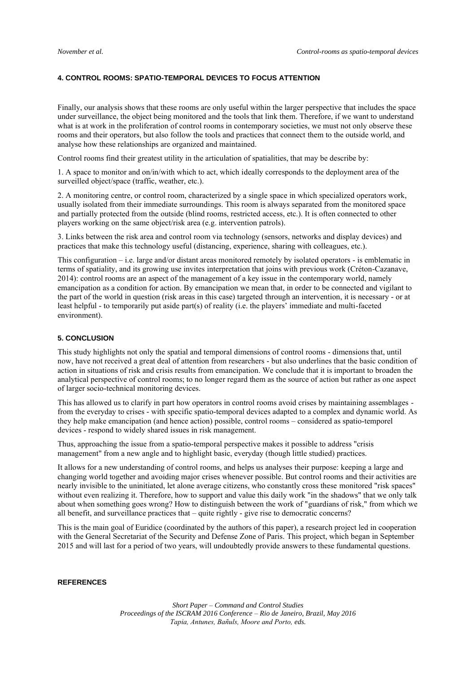# **4. CONTROL ROOMS: SPATIO-TEMPORAL DEVICES TO FOCUS ATTENTION**

Finally, our analysis shows that these rooms are only useful within the larger perspective that includes the space under surveillance, the object being monitored and the tools that link them. Therefore, if we want to understand what is at work in the proliferation of control rooms in contemporary societies, we must not only observe these rooms and their operators, but also follow the tools and practices that connect them to the outside world, and analyse how these relationships are organized and maintained.

Control rooms find their greatest utility in the articulation of spatialities, that may be describe by:

1. A space to monitor and on/in/with which to act, which ideally corresponds to the deployment area of the surveilled object/space (traffic, weather, etc.).

2. A monitoring centre, or control room, characterized by a single space in which specialized operators work, usually isolated from their immediate surroundings. This room is always separated from the monitored space and partially protected from the outside (blind rooms, restricted access, etc.). It is often connected to other players working on the same object/risk area (e.g. intervention patrols).

3. Links between the risk area and control room via technology (sensors, networks and display devices) and practices that make this technology useful (distancing, experience, sharing with colleagues, etc.).

This configuration – i.e. large and/or distant areas monitored remotely by isolated operators - is emblematic in terms of spatiality, and its growing use invites interpretation that joins with previous work (Créton-Cazanave, 2014): control rooms are an aspect of the management of a key issue in the contemporary world, namely emancipation as a condition for action. By emancipation we mean that, in order to be connected and vigilant to the part of the world in question (risk areas in this case) targeted through an intervention, it is necessary - or at least helpful - to temporarily put aside part(s) of reality (i.e. the players' immediate and multi-faceted environment).

# **5. CONCLUSION**

This study highlights not only the spatial and temporal dimensions of control rooms - dimensions that, until now, have not received a great deal of attention from researchers - but also underlines that the basic condition of action in situations of risk and crisis results from emancipation. We conclude that it is important to broaden the analytical perspective of control rooms; to no longer regard them as the source of action but rather as one aspect of larger socio-technical monitoring devices.

This has allowed us to clarify in part how operators in control rooms avoid crises by maintaining assemblages from the everyday to crises - with specific spatio-temporal devices adapted to a complex and dynamic world. As they help make emancipation (and hence action) possible, control rooms – considered as spatio-temporel devices - respond to widely shared issues in risk management.

Thus, approaching the issue from a spatio-temporal perspective makes it possible to address "crisis management" from a new angle and to highlight basic, everyday (though little studied) practices.

It allows for a new understanding of control rooms, and helps us analyses their purpose: keeping a large and changing world together and avoiding major crises whenever possible. But control rooms and their activities are nearly invisible to the uninitiated, let alone average citizens, who constantly cross these monitored "risk spaces" without even realizing it. Therefore, how to support and value this daily work "in the shadows" that we only talk about when something goes wrong? How to distinguish between the work of "guardians of risk," from which we all benefit, and surveillance practices that – quite rightly - give rise to democratic concerns?

This is the main goal of Euridice (coordinated by the authors of this paper), a research project led in cooperation with the General Secretariat of the Security and Defense Zone of Paris. This project, which began in September 2015 and will last for a period of two years, will undoubtedly provide answers to these fundamental questions.

# **REFERENCES**